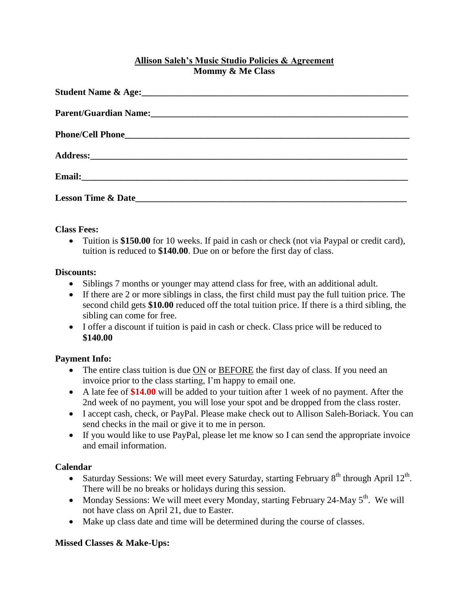## **Allison Saleh's Music Studio Policies & Agreement Mommy & Me Class**

### **Class Fees:**

 Tuition is **\$150.00** for 10 weeks. If paid in cash or check (not via Paypal or credit card), tuition is reduced to **\$140.00**. Due on or before the first day of class.

### **Discounts:**

- Siblings 7 months or younger may attend class for free, with an additional adult.
- If there are 2 or more siblings in class, the first child must pay the full tuition price. The second child gets **\$10.00** reduced off the total tuition price. If there is a third sibling, the sibling can come for free.
- I offer a discount if tuition is paid in cash or check. Class price will be reduced to **\$140.00**

## **Payment Info:**

- The entire class tuition is due  $ON$  or  $BEFORE$  the first day of class. If you need an invoice prior to the class starting, I'm happy to email one.
- A late fee of **\$14.00** will be added to your tuition after 1 week of no payment. After the 2nd week of no payment, you will lose your spot and be dropped from the class roster.
- I accept cash, check, or PayPal. Please make check out to Allison Saleh-Boriack. You can send checks in the mail or give it to me in person.
- If you would like to use PayPal, please let me know so I can send the appropriate invoice and email information.

### **Calendar**

- Saturday Sessions: We will meet every Saturday, starting February  $8<sup>th</sup>$  through April 12<sup>th</sup>. There will be no breaks or holidays during this session.
- Monday Sessions: We will meet every Monday, starting February 24-May  $5^{th}$ . We will not have class on April 21, due to Easter.
- Make up class date and time will be determined during the course of classes.

## **Missed Classes & Make-Ups:**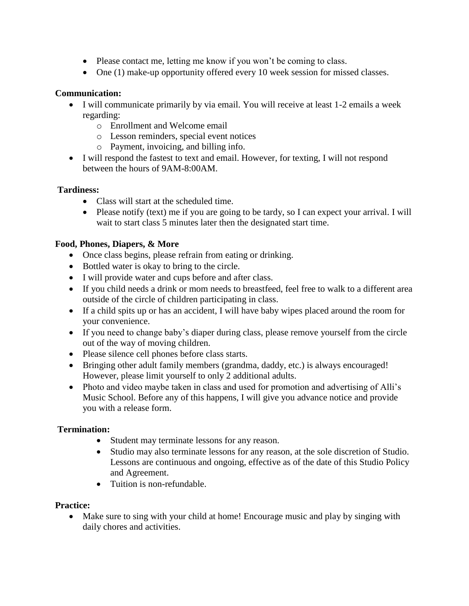- Please contact me, letting me know if you won't be coming to class.
- One (1) make-up opportunity offered every 10 week session for missed classes.

## **Communication:**

- I will communicate primarily by via email. You will receive at least 1-2 emails a week regarding:
	- o Enrollment and Welcome email
	- o Lesson reminders, special event notices
	- o Payment, invoicing, and billing info.
- I will respond the fastest to text and email. However, for texting, I will not respond between the hours of 9AM-8:00AM.

## **Tardiness:**

- Class will start at the scheduled time.
- Please notify (text) me if you are going to be tardy, so I can expect your arrival. I will wait to start class 5 minutes later then the designated start time.

## **Food, Phones, Diapers, & More**

- Once class begins, please refrain from eating or drinking.
- Bottled water is okay to bring to the circle.
- I will provide water and cups before and after class.
- If you child needs a drink or mom needs to breastfeed, feel free to walk to a different area outside of the circle of children participating in class.
- If a child spits up or has an accident, I will have baby wipes placed around the room for your convenience.
- If you need to change baby's diaper during class, please remove yourself from the circle out of the way of moving children.
- Please silence cell phones before class starts.
- Bringing other adult family members (grandma, daddy, etc.) is always encouraged! However, please limit yourself to only 2 additional adults.
- Photo and video maybe taken in class and used for promotion and advertising of Alli's Music School. Before any of this happens, I will give you advance notice and provide you with a release form.

## **Termination:**

- Student may terminate lessons for any reason.
- Studio may also terminate lessons for any reason, at the sole discretion of Studio. Lessons are continuous and ongoing, effective as of the date of this Studio Policy and Agreement.
- Tuition is non-refundable.

## **Practice:**

• Make sure to sing with your child at home! Encourage music and play by singing with daily chores and activities.